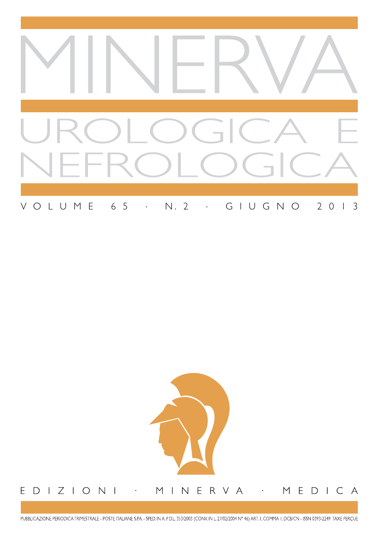

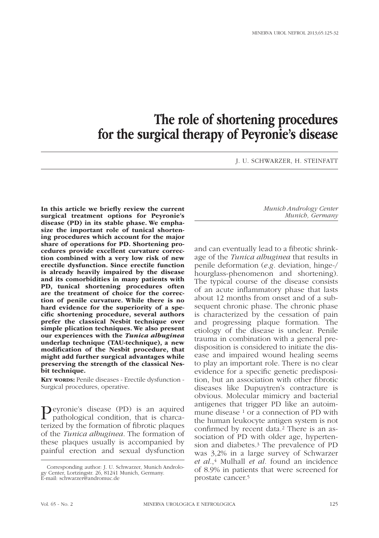# The role of shortening procedures for the surgical therapy of Peyronie's disease

J. U. SCHWARZER, H. STEINFATT

In this article we briefly review the current surgical treatment options for Peyronie's disease (PD) in its stable phase. We emphasize the important role of tunical shortening procedures which account for the major share of operations for PD. Shortening procedures provide excellent curvature correction combined with a very low risk of new erectile dysfunction. Since erectile function is already heavily impaired by the disease and its comorbidities in many patients with PD, tunical shortening procedures often are the treatment of choice for the correction of penile curvature. While there is no hard evidence for the superiority of a specific shortening procedure, several authors prefer the classical Nesbit technique over simple plication techniques. We also present our experiences with the *Tunica albuginea* underlap technique (TAU-technique), a new modification of the Nesbit procedure, that might add further surgical advantages while preserving the strength of the classical Nesbit technique.

Key words: Penile diseases - Erectile dysfunction - Surgical procedures, operative.

Peyronie's disease (PD) is an aquired pathological condition, that is charcaterized by the formation of fibrotic plaques of the *Tunica albuginea*. The formation of these plaques usually is accompanied by painful erection and sexual dysfunction

*Munich Andrology Center Munich, Germany*

and can eventually lead to a fibrotic shrinkage of the *Tunica albuginea* that results in penile deformation (*e.g.* deviation, hinge-/ hourglass-phenomenon and shortening). The typical course of the disease consists of an acute inflammatory phase that lasts about 12 months from onset and of a subsequent chronic phase. The chronic phase is characterized by the cessation of pain and progressing plaque formation. The etiology of the disease is unclear. Penile trauma in combination with a general predisposition is considered to initiate the disease and impaired wound healing seems to play an important role. There is no clear evidence for a specific genetic predisposition, but an association with other fibrotic diseases like Dupuytren's contracture is obvious. Molecular mimicry and bacterial antigenes that trigger PD like an autoimmune disease <sup>1</sup> or a connection of PD with the human leukocyte antigen system is not confirmed by recent data.2 There is an association of PD with older age, hypertension and diabetes.3 The prevalence of PD was 3,2% in a large survey of Schwarzer *et al.*,4 Mulhall *et al.* found an incidence of 8.9% in patients that were screened for prostate cancer.5

Corresponding author: J. U. Schwarzer, Munich Andrology Center, Lortzingstr. 26, 81241 Munich, Germany. E-mail: schwarzer@andromuc.de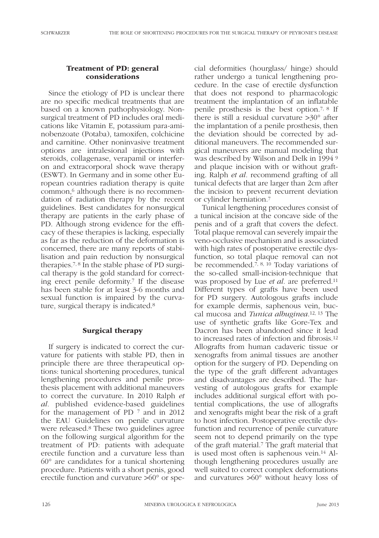## Treatment of PD: general considerations

Since the etiology of PD is unclear there are no specific medical treatments that are based on a known pathophysiology. Nonsurgical treatment of PD includes oral medications like Vitamin E, potassium para-aminobenzoate (Potaba), tamoxifen, colchicine and carnitine. Other noninvasive treatment options are intralesional injections with steroids, collagenase, verapamil or interferon and extracorporal shock wave therapy (ESWT). In Germany and in some other European countries radiation therapy is quite common,6 although there is no recommendation of radiation therapy by the recent guidelines. Best candidates for nonsurgical therapy are patients in the early phase of PD. Although strong evidence for the efficacy of these therapies is lacking, especially as far as the reduction of the deformation is concerned, there are many reports of stabilisation and pain reduction by nonsurgical therapies.7, 8 In the stable phase of PD surgical therapy is the gold standard for correcting erect penile deformity.7 If the disease has been stable for at least 3-6 months and sexual function is impaired by the curvature, surgical therapy is indicated.8

## Surgical therapy

If surgery is indicated to correct the curvature for patients with stable PD, then in principle there are three therapeutical options: tunical shortening procedures, tunical lengthening procedures and penile prosthesis placement with additional maneuvers to correct the curvature. In 2010 Ralph *et al.* published evidence-based guidelines for the management of PD 7 and in 2012 the EAU Guidelines on penile curvature were released.8 These two guidelines agree on the following surgical algorithm for the treatment of PD: patients with adequate erectile function and a curvature less than 60° are candidates for a tunical shortening procedure. Patients with a short penis, good erectile function and curvature >60° or special deformities (hourglass/ hinge) should rather undergo a tunical lengthening procedure. In the case of erectile dysfunction that does not respond to pharmacologic treatment the implantation of an inflatable penile prosthesis is the best option.7, 8 If there is still a residual curvature >30° after the implantation of a penile prosthesis, then the deviation should be corrected by additional maneuvers. The recommended surgical maneuvers are manual modeling that was described by Wilson and Delk in 1994 9 and plaque incision with or without grafting. Ralph *et al.* recommend grafting of all tunical defects that are larger than 2cm after the incision to prevent recurrent deviation or cylinder herniation.7

Tunical lengthening procedures consist of a tunical incision at the concave side of the penis and of a graft that covers the defect. Total plaque removal can severely impair the veno-occlusive mechanism and is associated with high rates of postoperative erectile dysfunction, so total plaque removal can not be recommended.7, 8, 10 Today variations of the so-called small-incision-technique that was proposed by Lue *et al.* are preferred.<sup>11</sup> Different types of grafts have been used for PD surgery. Autologous grafts include for example dermis, saphenous vein, buccal mucosa and *Tunica albuginea*.12, 13 The use of synthetic grafts like Gore-Tex and Dacron has been abandoned since it lead to increased rates of infection and fibrosis.12 Allografts from human cadaveric tissue or xenografts from animal tissues are another option for the surgery of PD. Depending on the type of the graft different advantages and disadvantages are described. The harvesting of autologous grafts for example includes additional surgical effort with potential complications, the use of allografts and xenografts might bear the risk of a graft to host infection. Postoperative erectile dysfunction and recurrence of penile curvature seem not to depend primarily on the type of the graft material.7 The graft material that is used most often is saphenous vein.14 Although lengthening procedures usually are well suited to correct complex deformations and curvatures >60° without heavy loss of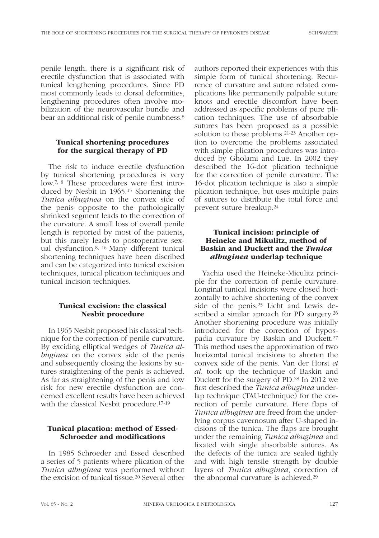penile length, there is a significant risk of erectile dysfunction that is associated with tunical lengthening procedures. Since PD most commonly leads to dorsal deformities, lengthening procedures often involve mobilization of the neurovascular bundle and bear an additional risk of penile numbness.8

#### Tunical shortening procedures for the surgical therapy of PD

The risk to induce erectile dysfunction by tunical shortening procedures is very low.7, 8 These procedures were first introduced by Nesbit in 1965.15 Shortening the *Tunica albuginea* on the convex side of the penis opposite to the pathologically shrinked segment leads to the correction of the curvature. A small loss of overall penile length is reported by most of the patients, but this rarely leads to postoperative sexual dysfunction.8, 16 Many different tunical shortening techniques have been discribed and can be categorized into tunical excision techniques, tunical plication techniques and tunical incision techniques.

### Tunical excision: the classical Nesbit procedure

In 1965 Nesbit proposed his classical technique for the correction of penile curvature. By exciding elliptical wedges of *Tunica albuginea* on the convex side of the penis and subsequently closing the lesions by sutures straightening of the penis is achieved. As far as straightening of the penis and low risk for new erectile dysfunction are concerned excellent results have been achieved with the classical Nesbit procedure.17-19

## Tunical placation: method of Essed-Schroeder and modifications

In 1985 Schroeder and Essed described a series of 5 patients where plication of the *Tunica albuginea* was performed without the excision of tunical tissue.20 Several other authors reported their experiences with this simple form of tunical shortening. Recurrence of curvature and suture related complications like permanently palpable suture knots and erectile discomfort have been addressed as specific problems of pure plication techniques. The use of absorbable sutures has been proposed as a possible solution to these problems.21-23 Another option to overcome the problems associated with simple plication procedures was introduced by Gholami and Lue. In 2002 they described the 16-dot plication technique for the correction of penile curvature. The 16-dot plication technique is also a simple plication technique, but uses multiple pairs of sutures to distribute the total force and prevent suture breakup.24

### Tunical incision: principle of Heineke and Mikulitz, method of Baskin and Duckett and the *Tunica albuginea* underlap technique

Yachia used the Heineke-Miculitz principle for the correction of penile curvature. Longinal tunical incisions were closed horizontally to achive shortening of the convex side of the penis.25 Licht and Lewis described a similar aproach for PD surgery.<sup>26</sup> Another shortening procedure was initially introduced for the correction of hypospadia curvature by Baskin and Duckett.27 This method uses the approximation of two horizontal tunical incisions to shorten the convex side of the penis. Van der Horst *et al.* took up the technique of Baskin and Duckett for the surgery of PD.28 In 2012 we first described the *Tunica albuginea* underlap technique (TAU-technique) for the correction of penile curvature. Here flaps of *Tunica albuginea* are freed from the underlying corpus cavernosum after U-shaped incisions of the tunica. The flaps are brought under the remaining *Tunica albuginea* and fixated with single absorbable sutures. As the defects of the tunica are sealed tightly and with high tensile strength by double layers of *Tunica albuginea*, correction of the abnormal curvature is achieved.29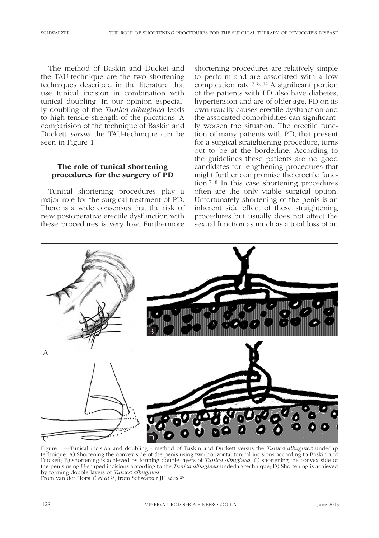The method of Baskin and Ducket and the TAU-technique are the two shortening techniques described in the literature that use tunical incision in combination with tunical doubling. In our opinion especially doubling of the *Tunica albuginea* leads to high tensile strength of the plications. A comparision of the technique of Baskin and Duckett *versus* the TAU-technique can be seen in Figure 1.

#### The role of tunical shortening procedures for the surgery of PD

Tunical shortening procedures play a major role for the surgical treatment of PD. There is a wide consensus that the risk of new postoperative erectile dysfunction with these procedures is very low. Furthermore

shortening procedures are relatively simple to perform and are associated with a low complcation rate.7, 8, 14 A significant portion of the patients with PD also have diabetes, hypertension and are of older age. PD on its own usually causes erectile dysfunction and the associated comorbidities can significantly worsen the situation. The erectile function of many patients with PD, that present for a surgical straightening procedure, turns out to be at the borderline. According to the guidelines these patients are no good candidates for lengthening procedures that might further compromise the erectile function.7, 8 In this case shortening procedures often are the only viable surgical option. Unfortunately shortening of the penis is an inherent side effect of these straightening procedures but usually does not affect the sexual function as much as a total loss of an



Figure 1.—Tunical incision and doubling - method of Baskin and Duckett versus the *Tunica albuginea* underlap technique. A) Shortening the convex side of the penis using two horizontal tunical incisions according to Baskin and Duckett; B) shortening is achieved by forming double layers of *Tunica albuginea*; C) shortening the convex side of the penis using U-shaped incisions according to the *Tunica albuginea* underlap technique; D) Shortening is achieved by forming double layers of *Tunica albuginea.* From van der Horst C *et al.*28; from Schwarzer JU *et al.*<sup>29</sup>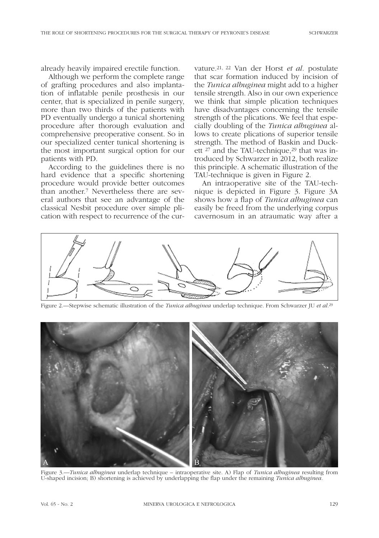already heavily impaired erectile function.

Although we perform the complete range of grafting procedures and also implantation of inflatable penile prosthesis in our center, that is specialized in penile surgery, more than two thirds of the patients with PD eventually undergo a tunical shortening procedure after thorough evaluation and comprehensive preoperative consent. So in our specialized center tunical shortening is the most important surgical option for our patients with PD.

According to the guidelines there is no hard evidence that a specific shortening procedure would provide better outcomes than another.7 Nevertheless there are several authors that see an advantage of the classical Nesbit procedure over simple plication with respect to recurrence of the curvature.21, 22 Van der Horst *et al.* postulate that scar formation induced by incision of the *Tunica albuginea* might add to a higher tensile strength. Also in our own experience we think that simple plication techniques have disadvantages concerning the tensile strength of the plications. We feel that especially doubling of the *Tunica albuginea* allows to create plications of superior tensile strength. The method of Baskin and Duckett <sup>27</sup> and the TAU-technique,<sup>29</sup> that was introduced by Schwarzer in 2012, both realize this principle. A schematic illustration of the TAU-technique is given in Figure 2.

An intraoperative site of the TAU-technique is depicted in Figure 3. Figure 3A shows how a flap of *Tunica albuginea* can easily be freed from the underlying corpus cavernosum in an atraumatic way after a



Figure 2.—Stepwise schematic illustration of the *Tunica albuginea* underlap technique. From Schwarzer JU *et al.*<sup>29</sup>



Figure 3.—*Tunica albuginea* underlap technique – intraoperative site. A) Flap of *Tunica albuginea* resulting from U-shaped incision; B) shortening is achieved by underlapping the flap under the remaining *Tunica albuginea.*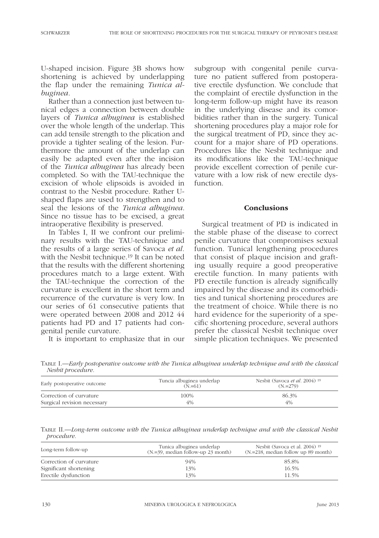U-shaped incision. Figure 3B shows how shortening is achieved by underlapping the flap under the remaining *Tunica albuginea*.

Rather than a connection just between tunical edges a connection between double layers of *Tunica albuginea* is established over the whole length of the underlap. This can add tensile strength to the plication and provide a tighter sealing of the lesion. Furthermore the amount of the underlap can easily be adapted even after the incision of the *Tunica albuginea* has already been completed. So with the TAU-technique the excision of whole elipsoids is avoided in contrast to the Nesbit procedure. Rather Ushaped flaps are used to strengthen and to seal the lesions of the *Tunica albuginea*. Since no tissue has to be excised, a great intraoperative flexibility is preserved.

In Tables I, II we confront our preliminary results with the TAU-technique and the results of a large series of Savoca *et al.* with the Nesbit technique.19 It can be noted that the results with the different shortening procedures match to a large extent. With the TAU-technique the correction of the curvature is excellent in the short term and recurrence of the curvature is very low. In our series of 61 consecutive patients that were operated between 2008 and 2012 44 patients had PD and 17 patients had congenital penile curvature.

It is important to emphasize that in our

subgroup with congenital penile curvature no patient suffered from postoperative erectile dysfunction. We conclude that the complaint of erectile dysfunction in the long-term follow-up might have its reason in the underlying disease and its comorbidities rather than in the surgery. Tunical shortening procedures play a major role for the surgical treatment of PD, since they account for a major share of PD operations. Procedures like the Nesbit technique and its modifications like the TAU-technique provide excellent correction of penile curvature with a low risk of new erectile dysfunction.

#### Conclusions

Surgical treatment of PD is indicated in the stable phase of the disease to correct penile curvature that compromises sexual function. Tunical lengthening procedures that consist of plaque incision and grafting usually require a good preoperative erectile function. In many patients with PD erectile function is already significally impaired by the disease and its comorbidities and tunical shortening procedures are the treatment of choice. While there is no hard evidence for the superiority of a specific shortening procedure, several authors prefer the classical Nesbit technique over simple plication techniques. We presented

Table I.—*Early postoperative outcome with the Tunica albuginea underlap technique and with the classical Nesbit procedure.*

| Early postoperative outcome | Tuncia albuginea underlap<br>$(N = 61)$ | Nesbit (Savoca <i>et al.</i> 2004) <sup>19</sup><br>$(N_{.}=279)$ |
|-----------------------------|-----------------------------------------|-------------------------------------------------------------------|
| Correction of curvature     | 100%                                    | 86.3%                                                             |
| Surgical revision necessary | 4%                                      | 4%                                                                |

Table II.—*Long-term outcome with the Tunica albuginea underlap technique and with the classical Nesbit procedure.*

| Long-term follow-up     | Tunica albuginea underlap<br>$(N = 39)$ , median follow-up 23 month) | Nesbit (Savoca et al. 2004) <sup>19</sup><br>$(N=218, \text{ median follow up } 89 \text{ month})$ |
|-------------------------|----------------------------------------------------------------------|----------------------------------------------------------------------------------------------------|
| Correction of curvature | 94%                                                                  | 85.8%                                                                                              |
| Significant shortening  | 13%                                                                  | 16.5%                                                                                              |
| Erectile dysfunction    | 13%                                                                  | 11.5%                                                                                              |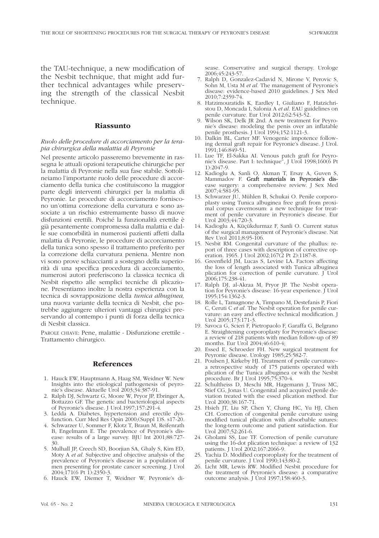the TAU-technique, a new modification of the Nesbit technique, that might add further technical advantages while preserving the strength of the classical Nesbit technique.

#### Riassunto

#### *Ruolo delle procedure di accorciamento per la terapia chirurgica della malattia di Peyronie*

Nel presente articolo passeremo brevemente in rassegna le attuali opzioni terapeutiche chirurgiche per la malattia di Peyronie nella sua fase stabile. Sottolineiamo l'importante ruolo delle procedure di accorciamento della tunica che costituiscono la maggior parte degli interventi chirurgici per la malattia di Peyronie. Le procedure di accorciamento forniscono un'ottima correzione della curvatura e sono associate a un rischio estremamente basso di nuove disfunzioni erettili. Poiché la funzionalità erettile è già pesantemente compromessa dalla malattia e dalle sue comorbilità in numerosi pazienti affetti dalla malattia di Peyronie, le procedure di accorciamento della tunica sono spesso il trattamento preferito per la correzione della curvatura peniena. Mentre non vi sono prove schiaccianti a sostegno della superiorità di una specifica procedura di accorciamento, numerosi autori preferiscono la classica tecnica di Nesbit rispetto alle semplici tecniche di plicazione. Presentiamo inoltre la nostra esperienza con la tecnica di sovrapposizione della *tunica albuginea,* una nuova variante della tecnica di Nesbit, che potrebbe aggiungere ulteriori vantaggi chirurgici preservando al contempo i punti di forza della tecnica di Nesbit classica.

Parole chiave: Pene, malattie - Disfunzione erettile - Trattamento chirurgico.

#### References

- 1. Hauck EW, Hauptmann A, Haag SM, Weidner W. New Insights into the etiological pathogenesis of peyronie's disease. Aktuelle Urol 2003;34:387-91.
- 2. Ralph DJ, Schwartz G, Moore W, Pryor JP, Ebringer A, Bottazzo GF. The genetic and bacteriological aspects of Peyronie's disease. J Urol.1997;157:291-4.
- 3. Ledda A. Diabetes, hypertension and erectile dysfunction. Curr Med Res Opin 2000;(Suppl 1)S. s17-20.
- 4. Schwarzer U, Sommer F, Klotz T, Braun M, Reifenrath B, Engelmann E. The prevalence of Peyronie's disease: results of a large survey. BJU Int 2001;88:727- 30.
- 5. Mulhall JP, Creech SD, Boorjian SA, Ghaly S, Kim ED, Moty A *et al.* Subjective and objective analysis of the prevalence of Peyronie's disease in a population of men presenting for prostate cancer screening. J Urol 2004;171(6 Pt 1):2350-3.
- 6. Hauck EW, Diemer T, Weidner W. Peyronie's di-

sease. Conservative and surgical therapy. Urologe 2006;45:243-57.

- 7. Ralph D, Gonzalez-Cadavid N, Mirone V, Perovic S, Sohn M, Usta M *et al.* The management of Peyronie's disease: evidence-based 2010 guidelines. J Sex Med 2010;7:2359-74.
- 8. Hatzimouratidis K, Eardley I, Giuliano F, Hatzichristou D, Moncada I, Salonia A *et al.* EAU guidelines on penile curvature. Eur Urol 2012;62:543-52.
- wilson SK, Delk JR 2nd. A new treatment for Peyronie's disease: modeling the penis over an inflatable penile prosthesis. J Urol 1994;152:1121-3.
- 10. Dalkin BL, Carter MF. Venogenic impotence following dermal graft repair for Peyronie's disease. J Urol. 1991;146:849-51.
- 11. Lue TF, El-Sakka AI. Venous patch graft for Peyronie's disease. Part I: technique", J Urol 1998;160(6 Pt 1):2047-9.
- 12. Kadioglu A, Sanli O, Akman T, Ersay A, Guven S, Mammadov F. Graft materials in Peyronie's disease surgery: a comprehensive review. J Sex Med 2007;4:581-95.
- 13. Schwarzer JU, Mühlen B, Schukai O. Penile corporoplasty using Tunica albuginea free graft from proximal corpus cavernosum: a new technique for treatment of penile curvature in Peyronie's disease. Eur Urol 2003;44:720-3.
- 14. Kadioglu A, Küçükdurmaz F, Sanli O. Current status of the surgical management of Peyronie's disease. Nat Rev Urol 2011;8:95-106.
- Nesbit RM. Congenital curvature of the phallus: report of three cases with description of corrective operation. 1965. J Urol 2002;167(2 Pt 2):1187-8.
- 16. Greenfield JM, Lucas S, Levine LA. Factors affecting the loss of length associated with Tunica albuginea plication for correction of penile curvature. J Urol 2006;175:238-41.
- 17. Ralph DJ, al-Akraa M, Pryor JP. The Nesbit operation for Peyronie's disease: 16-year experience. J Urol 1995;154:1362-3.
- 18. Rolle L, Tamagnone A, Timpano M, Destefanis P, Fiori C, Ceruti C *et al.* The Nesbit operation for penile curvature: an easy and effective technical modification. J Urol 2005;173:171-3.
- 19. Savoca G, Scieri F, Pietropaolo F, Garaffa G, Belgrano E. Straightening corporoplasty for Peyronie's disease: a review of 218 patients with median follow-up of 89 months. Eur Urol 2004;46:610-4;
- 20. Essed E, Schroeder FH. New surgical treatment for Peyronie disease. Urology 1985;25:582-7.
- 21. Poulsen J, Kirkeby HJ. Treatment of penile curvature– a retrospective study of 175 patients operated with plication of the Tunica albuginea or with the Nesbit procedure. Br J Urol 1995;75:370-4.
- 22. Schultheiss D, Meschi MR, Hagemann J, Truss MC, Stief CG, Jonas U. Congenital and acquired penile deviation treated with the essed plication method. Eur Urol 2000;38:167-71.
- 23. Hsieh JT, Liu SP, Chen Y, Chang HC, Yu HJ, Chen CH. Correction of congenital penile curvature using modified tunical plication with absorbable sutures: the long-term outcome and patient satisfaction. Eur Urol 2007;52:261-6.
- 24. Gholami SS, Lue TF. Correction of penile curvature using the 16-dot plication technique: a review of 132 patients. J Urol 2002;167:2066-9.
- 25. Yachia D. Modified corporoplasty for the treatment of penile curvature. J Urol 1990;143:80-2.
- 26. Licht MR, Lewis RW. Modified Nesbit procedure for the treatment of Peyronie's disease: a comparative outcome analysis. J Urol  $1997;158:460-3$ .